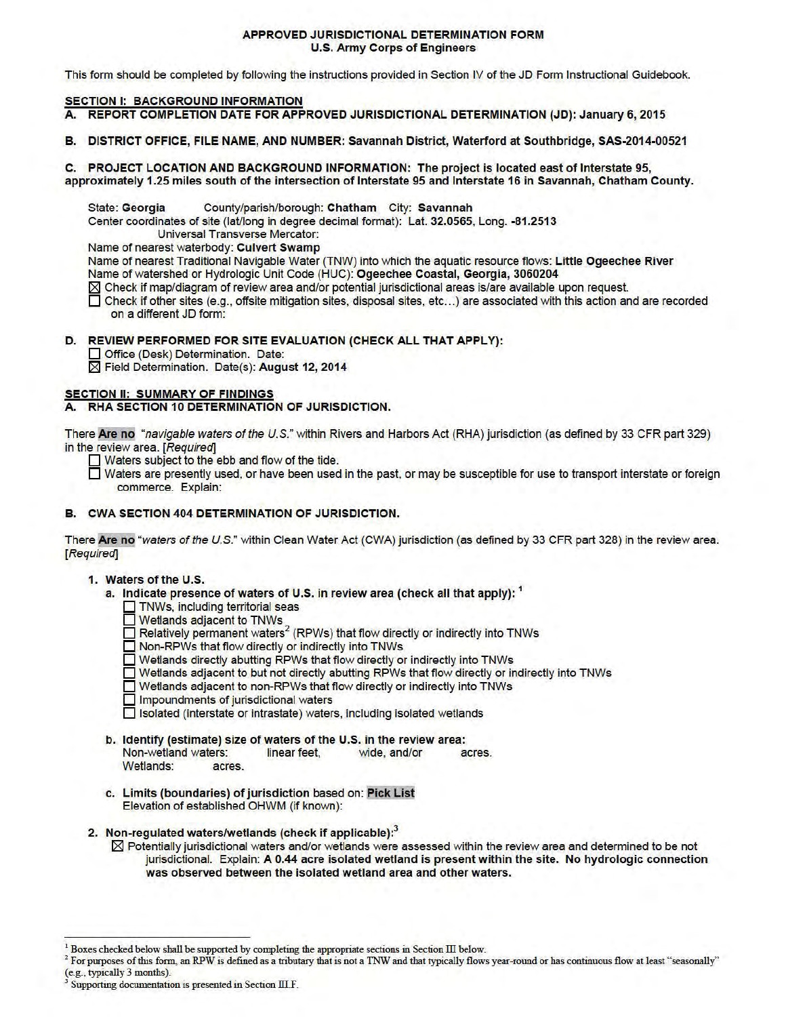### APPROVED JURISDICTIONAL DETERMINATION FORM U.S. Army Corps of Engineers

This form should be completed by following the instructions provided in Section IV of the JD Form Instructional Guidebook.

# **SECTION I: BACKGROUND INFORMATION**

- A. REPORT COMPLETION DATE FOR APPROVED JURISDICTIONAL DETERMINATION (JD): January 6, 2015
- B. DISTRICT OFFICE, FILE NAME, AND NUMBER: Savannah District, Waterford at Southbridge, SAS-2014-00521

C. PROJECT LOCATION AND BACKGROUND INFORMATION: The project is located east of Interstate 95, approximately 1.25 miles south of the intersection of Interstate 95 and Interstate 16 in Savannah, Chatham County.

State: Georgia County/parish/borough: Chatham City: Savannah

Center coordinates of site (lat/long in degree decimal format): Lat. 32.0565, Long. -81.2513

Universal Transverse Mercator:

Name of nearest waterbody: Culvert Swamp

Name of nearest Traditional Navigable Water (TNW) into which the aquatic resource flows: Little Ogeechee River Name of watershed or Hydrologic Unit Code (HUC): Ogeechee Coastal, Georgia, 3060204

 $\boxtimes$  Check if map/diagram of review area and/or potential jurisdictional areas is/are available upon request.

Check if other sites (e.g., offsite mitigation sites, disposal sites, etc...) are associated with this action and are recorded on a different JD form:

## D. REVIEW PERFORMED FOR SITE EVALUATION (CHECK ALL THAT APPLY):

Office (Desk) Determination. Date:

 $\boxtimes$  Field Determination. Date(s): August 12, 2014

## SECTION II: SUMMARY OF FINDINGS

A. RHA SECTION 10 DETERMINATION OF JURISDICTION.

There Are no "navigable waters ofthe U.S." within Rivers and Harbors Act (RHA) jurisdiction (as defined by 33 CFR part 329) in the review area. [Required]

 $\Box$  Waters subject to the ebb and flow of the tide.

Waters are presently used, or have been used in the past, or may be susceptible for use to transport interstate or foreign commerce. Explain:

# B. CWA SECTION 404 DETERMINATION OF JURISDICTION.

There Are no "waters of the U.S." within Clean Water Act (CWA) jurisdiction (as defined by 33 CFR part 328) in the review area. [Required]

## 1. Waters of the U.S.

- a. Indicate presence of waters of U.S. in review area (check all that apply): <sup>1</sup>
	- TNWs, including territorial seas
	- $\Box$  Wetlands adjacent to TNWs
	- $\Box$  Relatively permanent waters<sup>2</sup> (RPWs) that flow directly or indirectly into TNWs
	- **Non-RPWs that flow directly or indirectly into TNWs**
	- 0 Wetlands directly abutting RPWs that flow directly or indirectly into TNWs
	- D Wetlands adjacent to but not directly abutting RPWs that flow directly or indirectly into TNWs
	- Wetlands adjacent to non-RPWs that flow directly or indirectly into TNWs
	- $\Box$  Impoundments of jurisdictional waters

D Isolated (interstate or intrastate) waters, including isolated wetlands

- b. Identify (estimate) size of waters of the U.S. in the review area: Non-wetland waters: linear feet, wide, and/or acres. Wetlands: acres.
- c. Limits (boundaries) of jurisdiction based on: Pick Lis Elevation of established OHWM (if known):
- 2. Non-regulated waters/wetlands (check if applicable):3
	- $\boxtimes$  Potentially jurisdictional waters and/or wetlands were assessed within the review area and determined to be not jurisdictional. Explain: A 0.44 acre isolated wetland is present within the site. No hydrologic connection was observed between the isolated wetland area and other waters.

Boxes checked below shall be supported by completing the appropriate sections in Section III below.

 $^2$  For purposes of this form, an RPW is defined as a tributary that is not a TNW and that typically flows year-round or has continuous flow at least "seasonally" (e.g., typically 3 months).

Supporting documentation is presented in Section III F.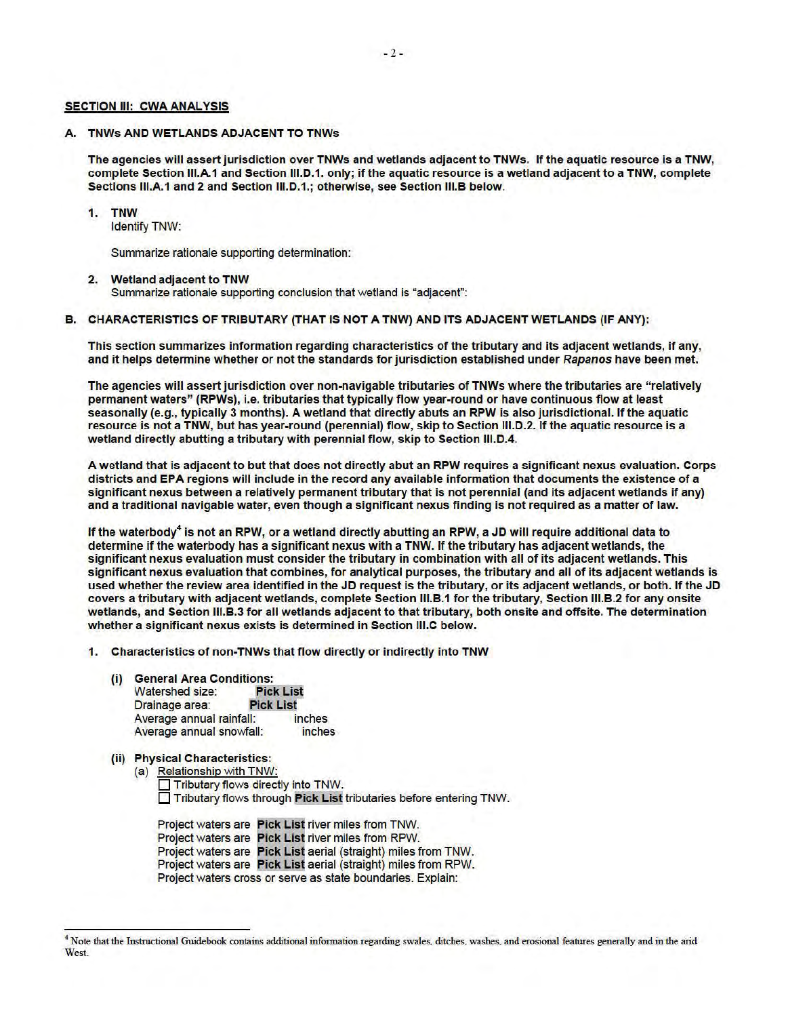#### SECTION III: CWA ANALYSIS

## A. TNWs AND WETLANDS ADJACENT TO TNWs

The agencies will assert jurisdiction over TNWs and wetlands adjacent to TNWs. If the aquatic resource is a TNW, complete Section III.A.1 and Section III.D.1. only; if the aquatic resource is a wetland adjacent to a TNW, complete Sections III.A.1 and 2 and Section III.D.1.; otherwise, see Section III.B below.

#### 1. **TNW**

Identify TNW:

Summarize rationale supporting determination:

#### 2. Wetland adjacent to TNW

Summarize rationale supporting conclusion that wetland is "adjacent":

### B. CHARACTERISTICS OF TRIBUTARY (THAT IS NOT A TNW) AND ITS ADJACENT WETLANDS (IF ANY):

This section summarizes information regarding characteristics of the tributary and its adjacent wetlands, if any, and it helps determine whether or not the standards for jurisdiction established under Rapanos have been met.

The agencies will assert jurisdiction over non-navigable tributaries of TNWs where the tributaries are "relatively permanent waters" (RPWs), i.e. tributaries that typically flow year-round or have continuous flow at least seasonally (e.g., typically 3 months). A wetland that directly abuts an RPW is also jurisdictional. If the aquatic resource is not a TNW, but has year-round (perennial) flow, skip to Section III.D.2. If the aquatic resource is a wetland directly abutting a tributary with perennial flow, skip to Section III.D.4.

A wetland that is adjacent to but that does not directly abut an RPW requires a significant nexus evaluation. Corps districts and EPA regions will include in the record any available information that documents the existence of a significant nexus between a relatively permanent tributary that is not perennial (and its adjacent wetlands if any) and a traditional navigable water, even though a significant nexus finding is not required as a matter of law.

If the waterbody<sup>4</sup> is not an RPW, or a wetland directly abutting an RPW, a JD will require additional data to determine if the waterbody has a significant nexus with a TNW.If the tributary has adjacent wetlands, the significant nexus evaluation must consider the tributary in combination with all of its adjacent wetlands. This significant nexus evaluation that combines, for analytical purposes, the tributary and all of its adjacent wetlands is used whether the review area identified in the JD request is the tributary, or its adjacent wetlands, or both. If the JD covers a tributary with adjacent wetlands, complete Section III.B.1 for the tributary, Section III.B.2 for any onsite wetlands, and Section III.B.3 for all wetlands adjacent to that tributary, both onsite and offsite. The determination whether a significant nexus exists is determined in Section III.C below.

- 1. Characteristics of non-TNWs that flow directly or indirectly into TNW
	- (i) General Area Conditions:

| Watershed size:          | <b>Pick List</b> |  |
|--------------------------|------------------|--|
| Drainage area:           | <b>Pick List</b> |  |
| Average annual rainfall: | <i>inches</i>    |  |
| Average annual snowfall: | inches           |  |

# (ii) Physical Characteristics:

(a) Relationship with TNW: Tributary flows directly into TNW.  $\Box$  Tributary flows through Pick List tributaries before entering TNW.

Project waters are Pick List river miles from TNW. Project waters are Pick List river miles from RPW. Project waters are Pick List aerial (straight) miles from TNW. Project waters are Pick List aerial (straight) miles from RPW. Project waters cross or serve as state boundaries. Explain:

<sup>4</sup> Note that the Instructional Guidebook contains additional information regarding swales, ditches, washes, and erosional features generally and in the arid West.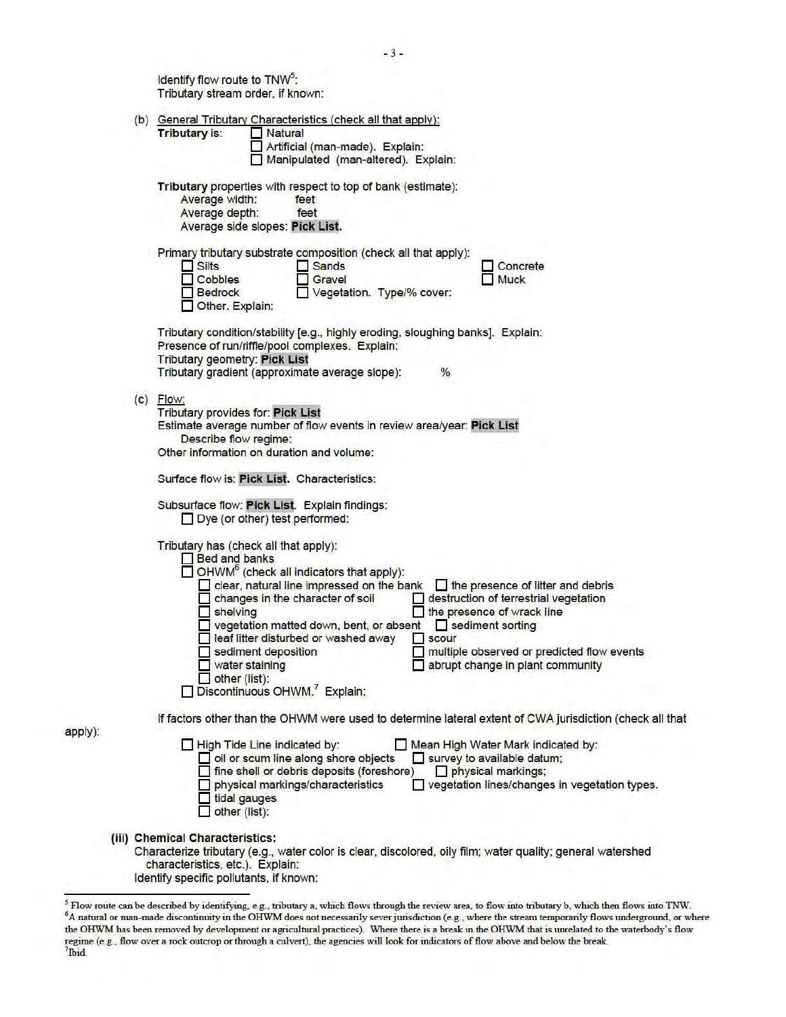|  | Identify flow route to TNW <sup>5</sup> :<br>Tributary stream order, if known:                                                                                                                                                                                                                                                                                                                                                                                                                                                                                                                                                                 |
|--|------------------------------------------------------------------------------------------------------------------------------------------------------------------------------------------------------------------------------------------------------------------------------------------------------------------------------------------------------------------------------------------------------------------------------------------------------------------------------------------------------------------------------------------------------------------------------------------------------------------------------------------------|
|  | (b) General Tributary Characteristics (check all that apply):<br>Tributary is:<br>Natural<br>-1<br>Artificial (man-made). Explain:<br>Manipulated (man-altered). Explain:                                                                                                                                                                                                                                                                                                                                                                                                                                                                      |
|  | Tributary properties with respect to top of bank (estimate):<br>Average width:<br>feet<br>Average depth:<br>feet<br>Average side slopes: Pick List.                                                                                                                                                                                                                                                                                                                                                                                                                                                                                            |
|  | Primary tributary substrate composition (check all that apply):<br>$\Box$ Silts<br>Sands<br>Concrete<br>и<br>Cobbles<br>Gravel<br><b>Muck</b><br>Vegetation. Type/% cover:<br><b>Bedrock</b><br>Other. Explain:                                                                                                                                                                                                                                                                                                                                                                                                                                |
|  | Tributary condition/stability [e.g., highly eroding, sloughing banks]. Explain:<br>Presence of run/riffle/pool complexes. Explain:<br><b>Tributary geometry: Pick List</b><br>Tributary gradient (approximate average slope):<br>$\%$                                                                                                                                                                                                                                                                                                                                                                                                          |
|  | $(c)$ Flow:<br><b>Tributary provides for: Pick List</b><br>Estimate average number of flow events in review area/year: Pick List<br>Describe flow regime:<br>Other information on duration and volume:<br>Surface flow is: Pick List. Characteristics:<br>Subsurface flow: Pick List. Explain findings:<br>Dye (or other) test performed:                                                                                                                                                                                                                                                                                                      |
|  | Tributary has (check all that apply):<br><b>Bed and banks</b><br>$\Box$ OHWM <sup>6</sup> (check all indicators that apply):<br>clear, natural line impressed on the bank<br>the presence of litter and debris<br>changes in the character of soil<br>destruction of terrestrial vegetation<br>shelving<br>the presence of wrack line<br>vegetation matted down, bent, or absent<br>sediment sorting<br>leaf litter disturbed or washed away<br>scour<br>multiple observed or predicted flow events<br>sediment deposition<br>abrupt change in plant community<br>water staining<br>other (list):<br>Discontinuous OHWM. <sup>7</sup> Explain: |
|  | If factors other than the OHWM were used to determine lateral extent of CWA jurisdiction (check all that                                                                                                                                                                                                                                                                                                                                                                                                                                                                                                                                       |
|  | High Tide Line indicated by:<br>Mean High Water Mark indicated by:<br>oil or scum line along shore objects<br>survey to available datum;<br>fine shell or debris deposits (foreshore)<br>physical markings;<br>vegetation lines/changes in vegetation types.<br>physical markings/characteristics<br>tidal gauges<br>other (list):                                                                                                                                                                                                                                                                                                             |
|  | (iii) Chemical Characteristics:<br>Characterize tributary (e.g., water color is clear, discolored, oily film; water quality; general watershed<br>characteristics, etc.). Explain:<br>Identify specific pollutants, if known:                                                                                                                                                                                                                                                                                                                                                                                                                  |

apply):

<sup>&</sup>lt;sup>5</sup> Flow route can be described by identifying, e.g., tributary a, which flows through the review area, to flow into tributary b, which then flows into TNW. <sup>6</sup>A natural or man-made discontinuity in the OHWM does not necessarily sever jurisdiction (e.g., where the stream temporarily flows underground, or where the OHWM has been removed by development or agricultural practices). Where there is a break in the OHWM that is unrelated to the waterbody 's flow regime (e.g., flow over a rock outcrop or through a culvert), the agencies will look for indicators offlow above and below the break. 7 lbid.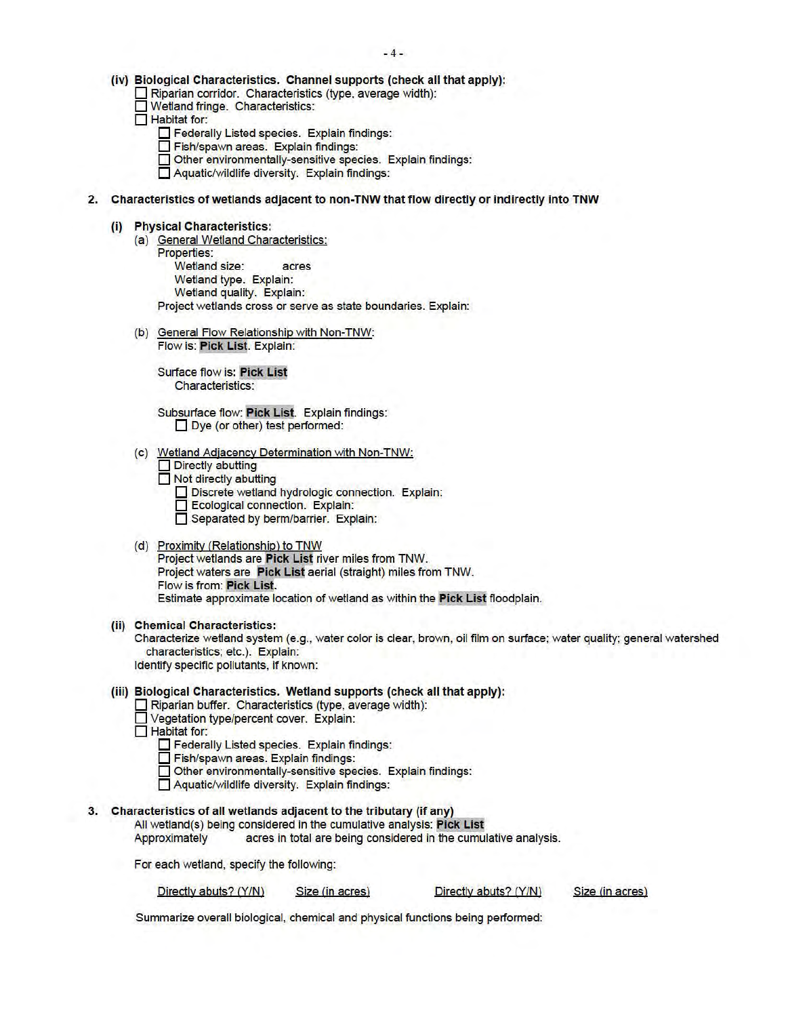- (iv) Biological Characteristics. Channel supports (check all that apply):
	- 0 Riparian corridor. Characteristics (type, average width):
	- **O Wetland fringe. Characteristics:**
	- Habitat for:
		- **Federally Listed species. Explain findings:**
		- **Fish/spawn areas. Explain findings:**
		- $\Box$  Other environmentally-sensitive species. Explain findings:
		- $\Box$  Aquatic/wildlife diversity. Explain findings:
- 2. Characteristics of wetlands adjacent to non-TNW that flow directly or indirectly into TNW
	- (i) Physical Characteristics:
		- (a) General Wetland Characteristics: Properties: Wetland size: acres Wetland type. Explain: Wetland quality. Explain: Project wetlands cross or serve as state boundaries. Explain:
		- (b) General Flow Relationship with Non-TNW: Flow is: Pick List. Explain:

Surface flow is: Pick List Characteristics:

- Subsurface flow: Pick List. Explain findings: Dye (or other) test performed:
- (c) Wetland Adjacency Determination with Non-TNW:
	- Directly abutting
	- **Not directly abutting** 
		- Discrete wetland hydrologic connection. Explain:
		- **Ecological connection.** Explain:
		- **Separated by berm/barrier.** Explain:
- (d) Proximity (Relationship) to TNW Project wetlands are Pick List river miles from TNW. Project waters are Pick List aerial (straight) miles from TNW. Flow is from: Pick List Estimate approximate location of wetland as within the Pick List floodplain.
- (ii) Chemical Characteristics:
	- Characterize wetland system (e.g. , water color is clear, brown, oil film on surface; water quality; general watershed characteristics; etc.). Explain: Identify specific pollutants, if known:
- (iii) Biological Characteristics. Wetland supports (check all that apply):
	- $\Box$  Riparian buffer. Characteristics (type, average width):
	- $\Box$  Vegetation type/percent cover. Explain: ◯ Vegetation type/percent cover. Explain:<br>◯ Habitat for:
	- - Federally Listed species. Explain findings:
		- 0 Fish/spawn areas. Explain findings:
		- Other environmentally-sensitive species. Explain findings:
		- $\Box$  Aquatic/wildlife diversity. Explain findings:

#### 3. Characteristics of all wetlands adjacent to the tributary (if any)

All wetland(s) being considered in the cumulative analysis: Pick List

Approximately acres in total are being considered in the cumulative analysis.

For each wetland, specify the following:

Directly abuts? (Y/N) Size (in acres) Directly abuts? (Y/N) Size (in acres)

Summarize overall biological, chemical and physical functions being performed: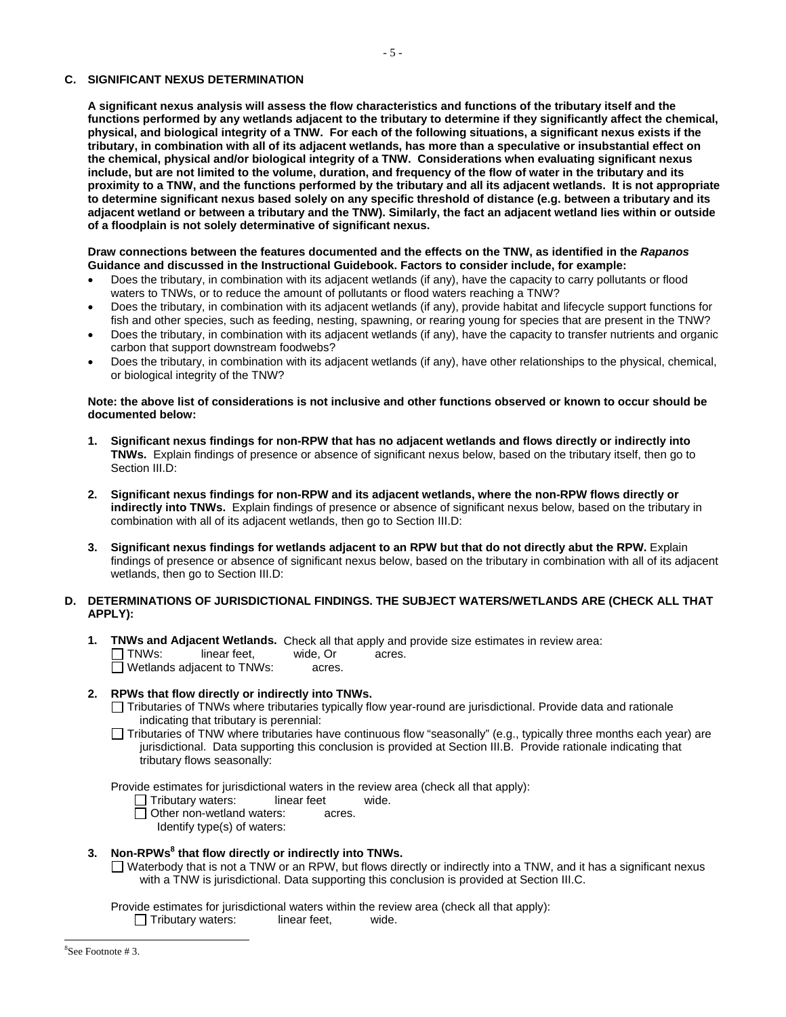# **C. SIGNIFICANT NEXUS DETERMINATION**

 **the chemical, physical and/or biological integrity of a TNW. Considerations when evaluating significant nexus include, but are not limited to the volume, duration, and frequency of the flow of water in the tributary and its to determine significant nexus based solely on any specific threshold of distance (e.g. between a tributary and its A significant nexus analysis will assess the flow characteristics and functions of the tributary itself and the functions performed by any wetlands adjacent to the tributary to determine if they significantly affect the chemical, physical, and biological integrity of a TNW. For each of the following situations, a significant nexus exists if the tributary, in combination with all of its adjacent wetlands, has more than a speculative or insubstantial effect on proximity to a TNW, and the functions performed by the tributary and all its adjacent wetlands. It is not appropriate adjacent wetland or between a tributary and the TNW). Similarly, the fact an adjacent wetland lies within or outside of a floodplain is not solely determinative of significant nexus.** 

## **Draw connections between the features documented and the effects on the TNW, as identified in the** *Rapanos*  **Guidance and discussed in the Instructional Guidebook. Factors to consider include, for example:**

- waters to TNWs, or to reduce the amount of pollutants or flood waters reaching a TNW? Does the tributary, in combination with its adjacent wetlands (if any), have the capacity to carry pollutants or flood
- fish and other species, such as feeding, nesting, spawning, or rearing young for species that are present in the TNW? Does the tributary, in combination with its adjacent wetlands (if any), provide habitat and lifecycle support functions for
- Does the tributary, in combination with its adjacent wetlands (if any), have the capacity to transfer nutrients and organic carbon that support downstream foodwebs?
- or biological integrity of the TNW? Does the tributary, in combination with its adjacent wetlands (if any), have other relationships to the physical, chemical,

### **Note: the above list of considerations is not inclusive and other functions observed or known to occur should be documented below:**

- **1. Significant nexus findings for non-RPW that has no adjacent wetlands and flows directly or indirectly into TNWs.** Explain findings of presence or absence of significant nexus below, based on the tributary itself, then go to Section III.D:
- combination with all of its adjacent wetlands, then go to Section III.D: 2. Significant nexus findings for non-RPW and its adjacent wetlands, where the non-RPW flows directly or **indirectly into TNWs.** Explain findings of presence or absence of significant nexus below, based on the tributary in
- **3. Significant nexus findings for wetlands adjacent to an RPW but that do not directly abut the RPW.** Explain findings of presence or absence of significant nexus below, based on the tributary in combination with all of its adjacent wetlands, then go to Section III.D:

# **D. DETERMINATIONS OF JURISDICTIONAL FINDINGS. THE SUBJECT WATERS/WETLANDS ARE (CHECK ALL THAT APPLY):**

**1. TNWs and Adjacent Wetlands.** Check all that apply and provide size estimates in review area: T TNWs: linear feet. wide, Or acres. □ Wetlands adjacent to TNWs: acres.

# **2. RPWs that flow directly or indirectly into TNWs.**

- Tributaries of TNWs where tributaries typically flow year-round are jurisdictional. Provide data and rationale indicating that tributary is perennial:
- Tributaries of TNW where tributaries have continuous flow "seasonally" (e.g., typically three months each year) are jurisdictional. Data supporting this conclusion is provided at Section III.B. Provide rationale indicating that tributary flows seasonally:

Provide estimates for jurisdictional waters in the review area (check all that apply):

- Tributary waters: linear feet wide.
- Other non-wetland waters: acres.

Identify type(s) of waters:

# 3. Non-RPWs<sup>8</sup> that flow directly or indirectly into TNWs.

with a TNW is jurisdictional. Data supporting this conclusion is provided at Section III.C.  $\Box$  Waterbody that is not a TNW or an RPW, but flows directly or indirectly into a TNW, and it has a significant nexus

Provide estimates for jurisdictional waters within the review area (check all that apply):

wide.  $\Box$  Tributary waters: linear feet,

 $\overline{a}$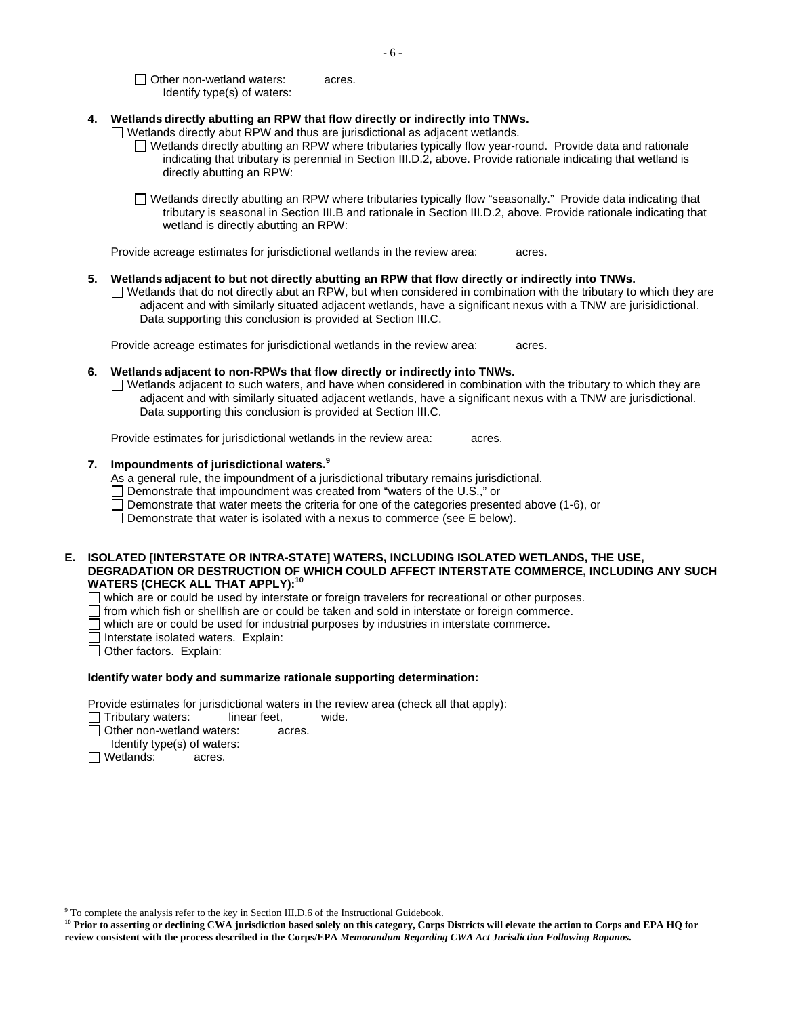Other non-wetland waters: acres. Identify type(s) of waters:

# **4. Wetlands directly abutting an RPW that flow directly or indirectly into TNWs.**

 $\Box$  Wetlands directly abut RPW and thus are jurisdictional as adjacent wetlands.

 Wetlands directly abutting an RPW where tributaries typically flow year-round. Provide data and rationale indicating that tributary is perennial in Section III.D.2, above. Provide rationale indicating that wetland is directly abutting an RPW:

 Wetlands directly abutting an RPW where tributaries typically flow "seasonally." Provide data indicating that tributary is seasonal in Section III.B and rationale in Section III.D.2, above. Provide rationale indicating that wetland is directly abutting an RPW:

Provide acreage estimates for jurisdictional wetlands in the review area: acres.

#### **5. Wetlands adjacent to but not directly abutting an RPW that flow directly or indirectly into TNWs.**

 Wetlands that do not directly abut an RPW, but when considered in combination with the tributary to which they are adjacent and with similarly situated adjacent wetlands, have a significant nexus with a TNW are jurisidictional. Data supporting this conclusion is provided at Section III.C.

Provide acreage estimates for jurisdictional wetlands in the review area: acres.

#### **6. Wetlands adjacent to non-RPWs that flow directly or indirectly into TNWs.**

 $\Box$  Wetlands adjacent to such waters, and have when considered in combination with the tributary to which they are adjacent and with similarly situated adjacent wetlands, have a significant nexus with a TNW are jurisdictional. Data supporting this conclusion is provided at Section III.C.

Provide estimates for jurisdictional wetlands in the review area: acres.

## **7. Impoundments of jurisdictional waters.<sup>9</sup>**

As a general rule, the impoundment of a jurisdictional tributary remains jurisdictional.

Demonstrate that impoundment was created from "waters of the U.S.," or

 $\Box$  Demonstrate that water meets the criteria for one of the categories presented above (1-6), or

Demonstrate that water is isolated with a nexus to commerce (see E below).

## **E. ISOLATED [INTERSTATE OR INTRA-STATE] WATERS, INCLUDING ISOLATED WETLANDS, THE USE, DEGRADATION OR DESTRUCTION OF WHICH COULD AFFECT INTERSTATE COMMERCE, INCLUDING ANY SUCH WATERS (CHECK ALL THAT APPLY):10**

 $\Box$ which are or could be used by interstate or foreign travelers for recreational or other purposes.

 $\Box$  from which fish or shellfish are or could be taken and sold in interstate or foreign commerce.  $\Box$  which are or could be used for industrial purposes by industries in interstate commerce.

which are or could be used for industrial purposes by industries in interstate commerce.

 Interstate isolated waters. Explain:

Other factors. Explain:

#### **Identify water body and summarize rationale supporting determination:**

Provide estimates for jurisdictional waters in the review area (check all that apply):

- Tributary waters: linear feet, wide.<br>Other non-wetland waters: acres.
- П
- ldentify type(s) of waters:<br>Wetlands: acres.
- □ Wetlands:

l

 $9^9$  To complete the analysis refer to the key in Section III.D.6 of the Instructional Guidebook.

 **review consistent with the process described in the Corps/EPA** *Memorandum Regarding CWA Act Jurisdiction Following Rapanos.* **10 Prior to asserting or declining CWA jurisdiction based solely on this category, Corps Districts will elevate the action to Corps and EPA HQ for**